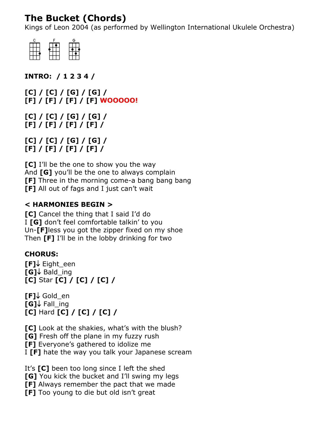# **The Bucket (Chords)**

Kings of Leon 2004 (as performed by Wellington International Ukulele Orchestra)



**INTRO: / 1 2 3 4 /**

**[C] / [C] / [G] / [G] / [F] / [F] / [F] / [F] WOOOOO!**

**[C] / [C] / [G] / [G] / [F] / [F] / [F] / [F] /**

**[C] / [C] / [G] / [G] / [F] / [F] / [F] / [F] /**

**[C]** I'll be the one to show you the way And **[G]** you'll be the one to always complain **[F]** Three in the morning come-a bang bang bang **[F]** All out of fags and I just can't wait

#### **< HARMONIES BEGIN >**

**[C]** Cancel the thing that I said I'd do I **[G]** don't feel comfortable talkin' to you Un-**[F]**less you got the zipper fixed on my shoe Then **[F]** I'll be in the lobby drinking for two

#### **CHORUS:**

**[F]** Eight een **[G]** Bald ing **[C]** Star **[C] / [C] / [C] /**

 $[F] \downarrow$  Gold en  $[G] \downarrow$  Fall\_ing **[C]** Hard **[C] / [C] / [C] /**

**[C]** Look at the shakies, what's with the blush? **[G]** Fresh off the plane in my fuzzy rush **[F]** Everyone's gathered to idolize me I **[F]** hate the way you talk your Japanese scream

It's **[C]** been too long since I left the shed **[G]** You kick the bucket and I'll swing my legs **[F]** Always remember the pact that we made **[F]** Too young to die but old isn't great